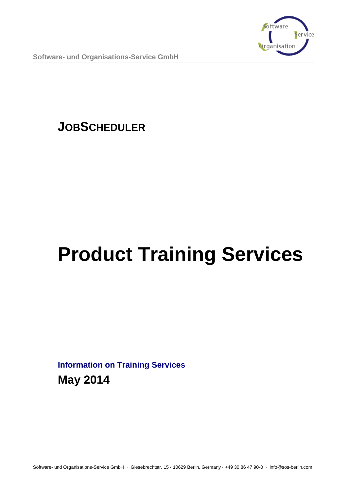

**Software- und Organisations-Service GmbH**

## **JOBSCHEDULER**

# **Product Training Services**

**Information on Training Services May 2014**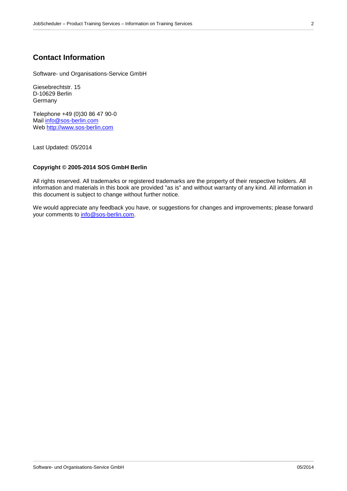## **Contact Information**

Software- und Organisations-Service GmbH

Giesebrechtstr. 15 D-10629 Berlin **Germany** 

Telephone +49 (0)30 86 47 90-0 Mail [info@sos-berlin.com](mailto:info@sos-berlin.com) Web [http://www.sos-berlin.com](http://www.sos-berlin.com/)

Last Updated: 05/2014

## **Copyright © 2005-2014 SOS GmbH Berlin**

All rights reserved. All trademarks or registered trademarks are the property of their respective holders. All information and materials in this book are provided "as is" and without warranty of any kind. All information in this document is subject to change without further notice.

We would appreciate any feedback you have, or suggestions for changes and improvements; please forward your comments to [info@sos-berlin.com.](mailto:info@sos-berlin.com)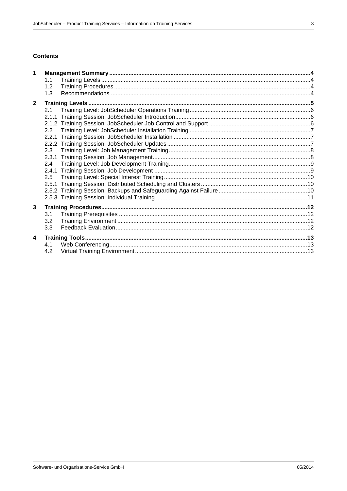## **Contents**

| $\mathbf 1$             |     |  |  |  |  |
|-------------------------|-----|--|--|--|--|
|                         | 1.1 |  |  |  |  |
|                         | 1.2 |  |  |  |  |
|                         | 1.3 |  |  |  |  |
| $\mathbf{2}$            |     |  |  |  |  |
|                         | 2.1 |  |  |  |  |
|                         |     |  |  |  |  |
|                         |     |  |  |  |  |
|                         | 2.2 |  |  |  |  |
|                         |     |  |  |  |  |
|                         |     |  |  |  |  |
|                         | 2.3 |  |  |  |  |
|                         |     |  |  |  |  |
|                         | 2.4 |  |  |  |  |
|                         |     |  |  |  |  |
|                         |     |  |  |  |  |
|                         |     |  |  |  |  |
|                         |     |  |  |  |  |
|                         |     |  |  |  |  |
| 3                       |     |  |  |  |  |
|                         | 3.1 |  |  |  |  |
|                         | 3.2 |  |  |  |  |
|                         | 3.3 |  |  |  |  |
| $\overline{\mathbf{4}}$ |     |  |  |  |  |
|                         | 4.1 |  |  |  |  |
|                         | 4.2 |  |  |  |  |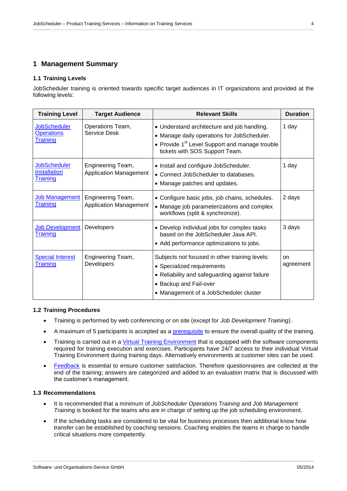## <span id="page-3-0"></span>**1 Management Summary**

## <span id="page-3-1"></span>**1.1 Training Levels**

JobScheduler training is oriented towards specific target audiences in IT organizations and provided at the following levels:

| <b>Training Level</b>                                         | <b>Target Audience</b>                             | <b>Relevant Skills</b>                                                                                                                                                                             | <b>Duration</b> |
|---------------------------------------------------------------|----------------------------------------------------|----------------------------------------------------------------------------------------------------------------------------------------------------------------------------------------------------|-----------------|
| <b>JobScheduler</b><br><b>Operations</b><br><b>Training</b>   | Operations Team,<br>Service Desk                   | • Understand architecture and job handling.<br>• Manage daily operations for JobScheduler.<br>• Provide 1 <sup>st</sup> Level Support and manage trouble<br>tickets with SOS Support Team.         | 1 day           |
| <b>JobScheduler</b><br><b>Installation</b><br><u>Training</u> | Engineering Team,<br><b>Application Management</b> | • Install and configure JobScheduler.<br>• Connect JobScheduler to databases.<br>• Manage patches and updates.                                                                                     | 1 day           |
| Job Management<br><u>Training</u>                             | Engineering Team,<br><b>Application Management</b> | • Configure basic jobs, job chains, schedules.<br>• Manage job parameterizations and complex<br>workflows (split & synchronize).                                                                   | 2 days          |
| <b>Job Development</b><br>Training                            | Developers                                         | • Develop individual jobs for complex tasks<br>based on the JobScheduler Java API.<br>• Add performance optimizations to jobs.                                                                     | 3 days          |
| <b>Special Interest</b><br>Training                           | Engineering Team,<br><b>Developers</b>             | Subjects not focused in other training levels:<br>• Specialized requirements<br>• Reliability and safeguarding against failure<br>• Backup and Fail-over<br>• Management of a JobScheduler cluster | on<br>agreement |

## <span id="page-3-2"></span>**1.2 Training Procedures**

- Training is performed by web conferencing or on site (except for *Job Development Training*).
- A maximum of 5 participants is accepted as a [prerequisite](#page-11-1) to ensure the overall quality of the training.
- Training is carried out in a [Virtual Training Environment](#page-12-2) that is equipped with the software components required for training execution and exercises. Participants have 24/7 access to their individual Virtual Training Environment during training days. Alternatively environments at customer sites can be used.
- [Feedback](#page-11-3) is essential to ensure customer satisfaction. Therefore questionnaires are collected at the end of the training; answers are categorized and added to an evaluation matrix that is discussed with the customer's management.

## <span id="page-3-3"></span>**1.3 Recommendations**

- It is recommended that a minimum of *JobScheduler Operations Training* and *Job Management Training* is booked for the teams who are in charge of setting up the job scheduling environment.
- If the scheduling tasks are considered to be vital for business processes then additional know how transfer can be established by coaching sessions. Coaching enables the teams in charge to handle critical situations more competently.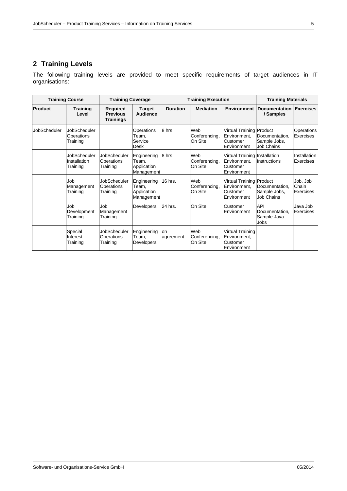## <span id="page-4-0"></span>**2 Training Levels**

The following training levels are provided to meet specific requirements of target audiences in IT organisations:

<span id="page-4-1"></span>

| <b>Training Course</b> |                                          | <b>Training Coverage</b>                               |                                                   | <b>Training Execution</b> |                                 |                                                                            | <b>Training Materials</b>                           |                                |
|------------------------|------------------------------------------|--------------------------------------------------------|---------------------------------------------------|---------------------------|---------------------------------|----------------------------------------------------------------------------|-----------------------------------------------------|--------------------------------|
| Product                | <b>Training</b><br>Level                 | <b>Required</b><br><b>Previous</b><br><b>Trainings</b> | <b>Target</b><br><b>Audience</b>                  | <b>Duration</b>           | <b>Mediation</b>                | <b>Environment</b>                                                         | <b>Documentation</b><br>/ Samples                   | <b>Exercises</b>               |
| JobScheduler           | JobScheduler<br>Operations<br>Training   |                                                        | Operations<br>Team,<br>Service<br><b>Desk</b>     | 8 hrs.                    | Web<br>Conferencing,<br>On Site | Virtual Training Product<br>Environment,<br>Customer<br>Environment        | Documentation.<br>Sample Jobs,<br><b>Job Chains</b> | Operations<br>Exercises        |
|                        | JobScheduler<br>Installation<br>Training | <b>JobScheduler</b><br><b>Operations</b><br>Training   | Engineering<br>Team.<br>Application<br>Management | 8 hrs.                    | Web<br>Conferencing.<br>On Site | Virtual Training Installation<br>Environment.<br>Customer<br>Environment   | Instructions                                        | Installation<br>Exercises      |
|                        | Job<br>Management<br>Training            | JobScheduler<br><b>Operations</b><br>Training          | Engineering<br>Team.<br>Application<br>Management | 16 hrs.                   | Web<br>Conferencing,<br>On Site | <b>Virtual Training Product</b><br>Environment.<br>Customer<br>Environment | Documentation.<br>Sample Jobs,<br><b>Job Chains</b> | Job, Job<br>Chain<br>Exercises |
|                        | Job<br>Development<br>Training           | Job<br>Management<br>Training                          | <b>Developers</b>                                 | 24 hrs.                   | On Site                         | Customer<br>Environment                                                    | API<br>Documentation,<br>Sample Java<br>Jobs        | Java Job<br>Exercises          |
|                        | Special<br>Interest<br>Training          | JobScheduler<br>Operations<br>Training                 | Engineering<br>Team,<br>Developers                | on<br>agreement           | Web<br>Conferencing,<br>On Site | Virtual Training<br>Environment.<br>Customer<br>Environment                |                                                     |                                |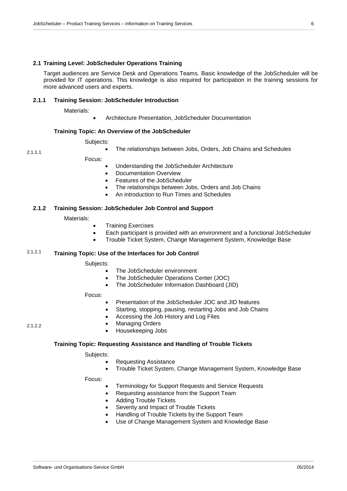#### <span id="page-5-0"></span>**2.1 Training Level: JobScheduler Operations Training**

Target audiences are Service Desk and Operations Teams. Basic knowledge of the JobScheduler will be provided for IT operations. This knowledge is also required for participation in the training sessions for more advanced users and experts.

#### <span id="page-5-1"></span>**2.1.1 Training Session: JobScheduler Introduction**

Materials:

Architecture Presentation, JobScheduler Documentation

## **Training Topic: An Overview of the JobScheduler**

Subjects:

The relationships between Jobs, Orders, Job Chains and Schedules

Focus:

- Understanding the JobScheduler Architecture
- Documentation Overview
- Features of the JobScheduler
- The relationships between Jobs, Orders and Job Chains
- An introduction to Run Times and Schedules

### <span id="page-5-2"></span>**2.1.2 Training Session: JobScheduler Job Control and Support**

Materials:

- Training Exercises
- Each participant is provided with an environment and a functional JobScheduler
- Trouble Ticket System, Change Management System, Knowledge Base

## **Training Topic: Use of the Interfaces for Job Control** 2.1.2.1

Subjects:

- The JobScheduler environment
- The JobScheduler Operations Center (JOC)
- The JobScheduler Information Dashboard (JID)

Focus:

- Presentation of the JobScheduler JOC and JID features
- Starting, stopping, pausing, restarting Jobs and Job Chains
- Accessing the Job History and Log Files

2.1.2.2

2.1.1.1

 Managing Orders Housekeeping Jobs

## **Training Topic: Requesting Assistance and Handling of Trouble Tickets**

Subjects:

- Requesting Assistance
- Trouble Ticket System, Change Management System, Knowledge Base

- Terminology for Support Requests and Service Requests
- Requesting assistance from the Support Team
- Adding Trouble Tickets
- Severity and Impact of Trouble Tickets
- Handling of Trouble Tickets by the Support Team
- <span id="page-5-3"></span>Use of Change Management System and Knowledge Base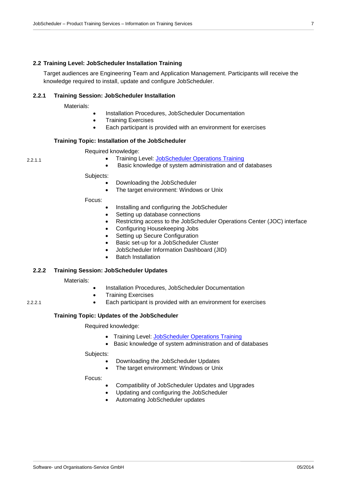## <span id="page-6-0"></span>**2.2 Training Level: JobScheduler Installation Training**

Target audiences are Engineering Team and Application Management. Participants will receive the knowledge required to install, update and configure JobScheduler.

## <span id="page-6-1"></span>**2.2.1 Training Session: JobScheduler Installation**

Materials:

- Installation Procedures, JobScheduler Documentation
- Training Exercises
	- Each participant is provided with an environment for exercises

## **Training Topic: Installation of the JobScheduler**

Required knowledge:

- Training Level: [JobScheduler Operations Training](#page-4-1)
- Basic knowledge of system administration and of databases

Subjects:

- Downloading the JobScheduler
- The target environment: Windows or Unix

Focus:

- Installing and configuring the JobScheduler
- Setting up database connections
- Restricting access to the JobScheduler Operations Center (JOC) interface
- Configuring Housekeeping Jobs
- Setting up Secure Configuration
- Basic set-up for a JobScheduler Cluster
- JobScheduler Information Dashboard (JID)
- Batch Installation

## <span id="page-6-2"></span>**2.2.2 Training Session: JobScheduler Updates**

Materials:

- Installation Procedures, JobScheduler Documentation
- Training Exercises
- Each participant is provided with an environment for exercises

## **Training Topic: Updates of the JobScheduler**

Required knowledge:

- Training Level: [JobScheduler Operations Training](#page-4-1)
- Basic knowledge of system administration and of databases

Subjects:

- Downloading the JobScheduler Updates
- The target environment: Windows or Unix

<span id="page-6-3"></span>Focus:

- Compatibility of JobScheduler Updates and Upgrades
- Updating and configuring the JobScheduler
- Automating JobScheduler updates

2.2.1.1

2.2.2.1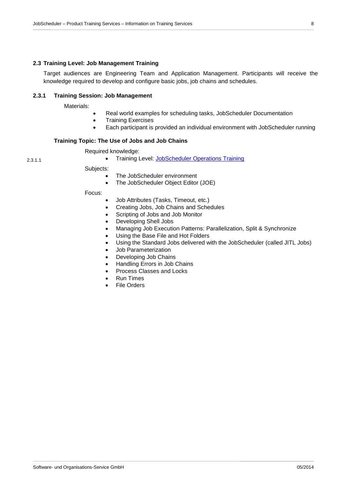## <span id="page-7-0"></span>**2.3 Training Level: Job Management Training**

Target audiences are Engineering Team and Application Management. Participants will receive the knowledge required to develop and configure basic jobs, job chains and schedules.

## <span id="page-7-1"></span>**2.3.1 Training Session: Job Management**

Materials:

2.3.1.1

- Real world examples for scheduling tasks, JobScheduler Documentation
- Training Exercises
- Each participant is provided an individual environment with JobScheduler running

## **Training Topic: The Use of Jobs and Job Chains**

Required knowledge:

• Training Level: [JobScheduler Operations](#page-4-1) Training

Subjects:

- The JobScheduler environment
- The JobScheduler Object Editor (JOE)

- Job Attributes (Tasks, Timeout, etc.)
- Creating Jobs, Job Chains and Schedules
- Scripting of Jobs and Job Monitor
- Developing Shell Jobs
- Managing Job Execution Patterns: Parallelization, Split & Synchronize
- Using the Base File and Hot Folders
- Using the Standard Jobs delivered with the JobScheduler (called JITL Jobs)
	- Job Parameterization
- Developing Job Chains
- Handling Errors in Job Chains
- Process Classes and Locks
- Run Times
- <span id="page-7-2"></span>File Orders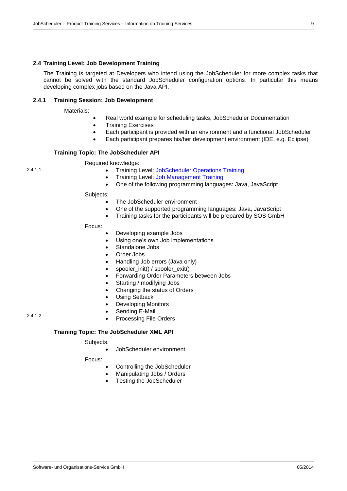## <span id="page-8-0"></span>**2.4 Training Level: Job Development Training**

The Training is targeted at Developers who intend using the JobScheduler for more complex tasks that cannot be solved with the standard JobScheduler configuration options. In particular this means developing complex jobs based on the Java API.

## <span id="page-8-1"></span>**2.4.1 Training Session: Job Development**

Materials:

2.4.1.1

2.4.1.2

- Real world example for scheduling tasks, JobScheduler Documentation
- Training Exercises
- Each participant is provided with an environment and a functional JobScheduler
- Each participant prepares his/her development environment (IDE, e.g. Eclipse)

## **Training Topic: The JobScheduler API**

Required knowledge:

- Training Level: [JobScheduler Operations](#page-4-1) Training
- Training Level: [Job Management](#page-6-3) Training
- One of the following programming languages: Java, JavaScript

Subjects:

- The JobScheduler environment
- One of the supported programming languages: Java, JavaScript
- Training tasks for the participants will be prepared by SOS GmbH

Focus:

- Developing example Jobs
- Using one's own Job implementations
- Standalone Jobs
- Order Jobs
- Handling Job errors (Java only)
- spooler\_init() / spooler\_exit()
- Forwarding Order Parameters between Jobs
- Starting / modifying Jobs
- Changing the status of Orders
- Using Setback
- Developing Monitors
- Sending E-Mail
- Processing File Orders

## **Training Topic: The JobScheduler XML API**

## Subjects:

JobScheduler environment

- Controlling the JobScheduler
- Manipulating Jobs / Orders
- <span id="page-8-2"></span>Testing the JobScheduler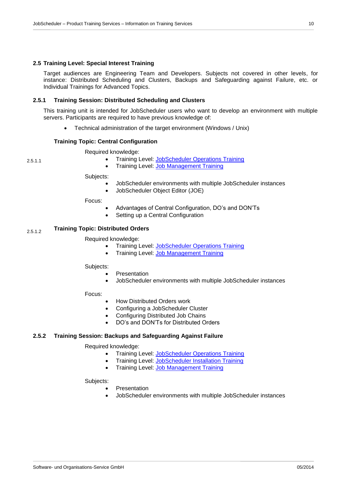## <span id="page-9-0"></span>**2.5 Training Level: Special Interest Training**

Target audiences are Engineering Team and Developers. Subjects not covered in other levels, for instance: Distributed Scheduling and Clusters, Backups and Safeguarding against Failure, etc. or Individual Trainings for Advanced Topics.

## <span id="page-9-1"></span>**2.5.1 Training Session: Distributed Scheduling and Clusters**

This training unit is intended for JobScheduler users who want to develop an environment with multiple servers. Participants are required to have previous knowledge of:

Technical administration of the target environment (Windows / Unix)

## **Training Topic: Central Configuration**

Required knowledge:

- Training Level: [JobScheduler Operations](#page-4-1) Training
- **Training Level: [Job Management](#page-6-3) Training**

#### Subjects:

2.5.1.1

- JobScheduler environments with multiple JobScheduler instances
- JobScheduler Object Editor (JOE)

Focus:

- Advantages of Central Configuration, DO's and DON'Ts
- Setting up a Central Configuration

## **Training Topic: Distributed Orders** 2.5.1.2

## Required knowledge:

- Training Level: [JobScheduler Operations Training](#page-4-1)
- Training Level: [Job Management Training](#page-6-3)

Subjects:

- Presentation
- JobScheduler environments with multiple JobScheduler instances

## Focus:

- How Distributed Orders work
- Configuring a JobScheduler Cluster
- Configuring Distributed Job Chains
- DO's and DON'Ts for Distributed Orders

## <span id="page-9-2"></span>**2.5.2 Training Session: Backups and Safeguarding Against Failure**

## Required knowledge:

- Training Level: [JobScheduler Operations Training](#page-4-1)
	- Training Level: [JobScheduler Installation Training](#page-5-3)
- Training Level: [Job Management Training](#page-6-3)

#### Subjects:

- Presentation
- JobScheduler environments with multiple JobScheduler instances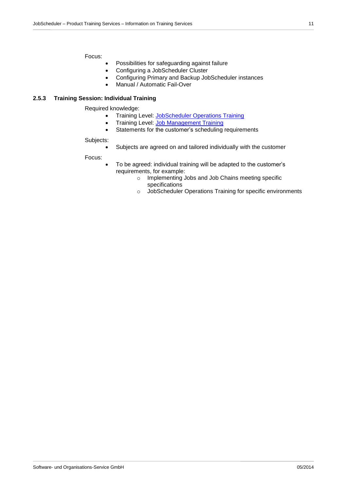Focus:

- Possibilities for safeguarding against failure
- Configuring a JobScheduler Cluster
- Configuring Primary and Backup JobScheduler instances
- Manual / Automatic Fail-Over

## <span id="page-10-0"></span>**2.5.3 Training Session: Individual Training**

Required knowledge:

- Training Level: [JobScheduler Operations Training](#page-4-1)
- Training Level: [Job Management Training](#page-6-3)
- Statements for the customer's scheduling requirements

#### Subjects:

Subjects are agreed on and tailored individually with the customer

- To be agreed: individual training will be adapted to the customer's requirements, for example:
	- o Implementing Jobs and Job Chains meeting specific specifications
	- o JobScheduler Operations Training for specific environments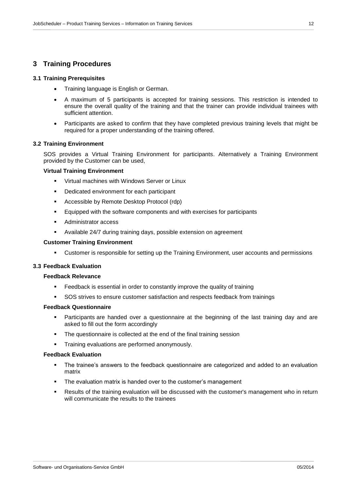## <span id="page-11-0"></span>**3 Training Procedures**

### <span id="page-11-1"></span>**3.1 Training Prerequisites**

- Training language is English or German.
- A maximum of 5 participants is accepted for training sessions. This restriction is intended to ensure the overall quality of the training and that the trainer can provide individual trainees with sufficient attention.
- Participants are asked to confirm that they have completed previous training levels that might be required for a proper understanding of the training offered.

#### <span id="page-11-2"></span>**3.2 Training Environment**

SOS provides a Virtual Training Environment for participants. Alternatively a Training Environment provided by the Customer can be used,

#### **Virtual Training Environment**

- Virtual machines with Windows Server or Linux
- Dedicated environment for each participant
- **Accessible by Remote Desktop Protocol (rdp)**
- Equipped with the software components and with exercises for participants
- Administrator access
- Available 24/7 during training days, possible extension on agreement

#### **Customer Training Environment**

Customer is responsible for setting up the Training Environment, user accounts and permissions

#### <span id="page-11-3"></span>**3.3 Feedback Evaluation**

#### **Feedback Relevance**

- Feedback is essential in order to constantly improve the quality of training
- SOS strives to ensure customer satisfaction and respects feedback from trainings

## **Feedback Questionnaire**

- Participants are handed over a questionnaire at the beginning of the last training day and are asked to fill out the form accordingly
- The questionnaire is collected at the end of the final training session
- **Training evaluations are performed anonymously.**

## **Feedback Evaluation**

- The trainee's answers to the feedback questionnaire are categorized and added to an evaluation matrix
- The evaluation matrix is handed over to the customer's management
- Results of the training evaluation will be discussed with the customer's management who in return will communicate the results to the trainees